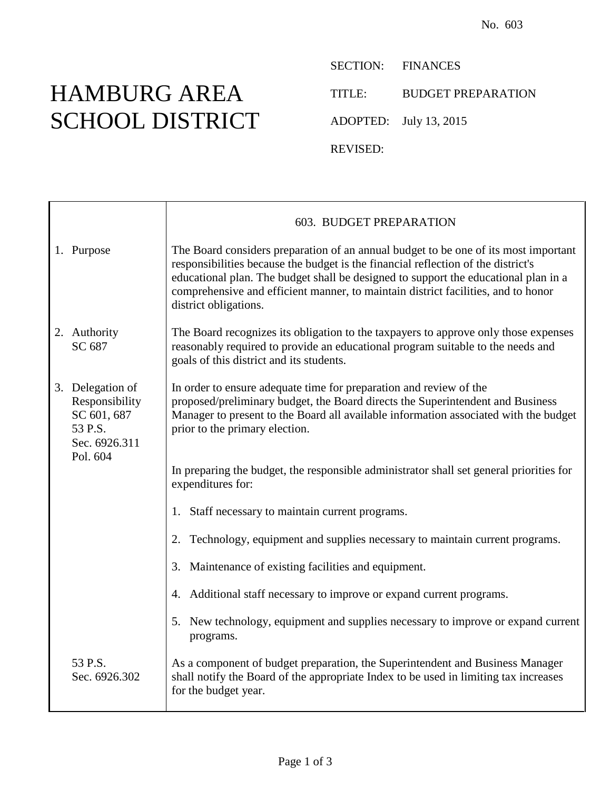## HAMBURG AREA SCHOOL DISTRICT

SECTION: FINANCES TITLE: BUDGET PREPARATION ADOPTED: July 13, 2015

REVISED:

|                                                                                           | 603. BUDGET PREPARATION                                                                                                                                                                                                                                                                                                                                                       |
|-------------------------------------------------------------------------------------------|-------------------------------------------------------------------------------------------------------------------------------------------------------------------------------------------------------------------------------------------------------------------------------------------------------------------------------------------------------------------------------|
| 1. Purpose                                                                                | The Board considers preparation of an annual budget to be one of its most important<br>responsibilities because the budget is the financial reflection of the district's<br>educational plan. The budget shall be designed to support the educational plan in a<br>comprehensive and efficient manner, to maintain district facilities, and to honor<br>district obligations. |
| 2. Authority<br>SC 687                                                                    | The Board recognizes its obligation to the taxpayers to approve only those expenses<br>reasonably required to provide an educational program suitable to the needs and<br>goals of this district and its students.                                                                                                                                                            |
| 3. Delegation of<br>Responsibility<br>SC 601, 687<br>53 P.S.<br>Sec. 6926.311<br>Pol. 604 | In order to ensure adequate time for preparation and review of the<br>proposed/preliminary budget, the Board directs the Superintendent and Business<br>Manager to present to the Board all available information associated with the budget<br>prior to the primary election.                                                                                                |
|                                                                                           | In preparing the budget, the responsible administrator shall set general priorities for<br>expenditures for:                                                                                                                                                                                                                                                                  |
|                                                                                           | 1. Staff necessary to maintain current programs.                                                                                                                                                                                                                                                                                                                              |
|                                                                                           | 2. Technology, equipment and supplies necessary to maintain current programs.                                                                                                                                                                                                                                                                                                 |
|                                                                                           | 3. Maintenance of existing facilities and equipment.                                                                                                                                                                                                                                                                                                                          |
|                                                                                           | 4. Additional staff necessary to improve or expand current programs.                                                                                                                                                                                                                                                                                                          |
|                                                                                           | 5. New technology, equipment and supplies necessary to improve or expand current<br>programs.                                                                                                                                                                                                                                                                                 |
| 53 P.S.<br>Sec. 6926.302                                                                  | As a component of budget preparation, the Superintendent and Business Manager<br>shall notify the Board of the appropriate Index to be used in limiting tax increases<br>for the budget year.                                                                                                                                                                                 |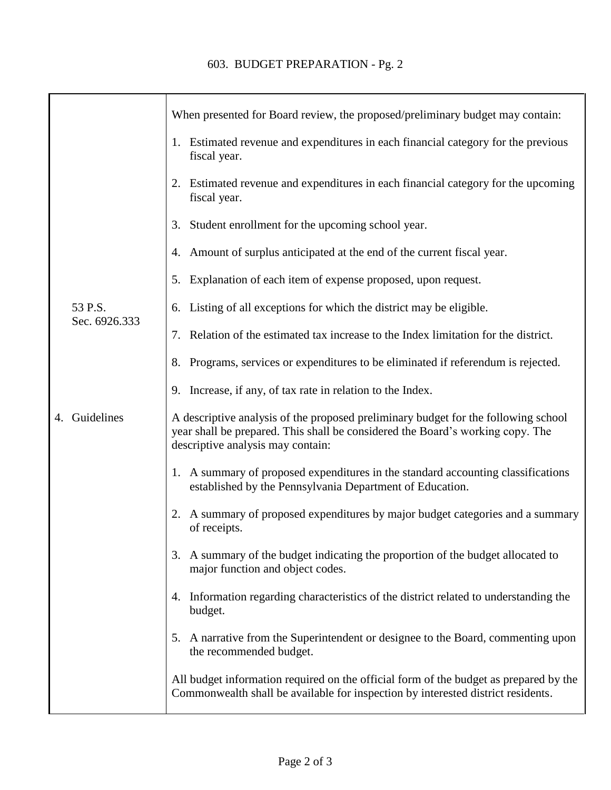|  |                          | When presented for Board review, the proposed/preliminary budget may contain:                                                                                                                             |
|--|--------------------------|-----------------------------------------------------------------------------------------------------------------------------------------------------------------------------------------------------------|
|  |                          | 1. Estimated revenue and expenditures in each financial category for the previous<br>fiscal year.                                                                                                         |
|  |                          | 2. Estimated revenue and expenditures in each financial category for the upcoming<br>fiscal year.                                                                                                         |
|  |                          | 3. Student enrollment for the upcoming school year.                                                                                                                                                       |
|  |                          | 4. Amount of surplus anticipated at the end of the current fiscal year.                                                                                                                                   |
|  |                          | 5. Explanation of each item of expense proposed, upon request.                                                                                                                                            |
|  | 53 P.S.<br>Sec. 6926.333 | 6. Listing of all exceptions for which the district may be eligible.                                                                                                                                      |
|  |                          | 7. Relation of the estimated tax increase to the Index limitation for the district.                                                                                                                       |
|  |                          | 8. Programs, services or expenditures to be eliminated if referendum is rejected.                                                                                                                         |
|  |                          | 9. Increase, if any, of tax rate in relation to the Index.                                                                                                                                                |
|  | 4. Guidelines            | A descriptive analysis of the proposed preliminary budget for the following school<br>year shall be prepared. This shall be considered the Board's working copy. The<br>descriptive analysis may contain: |
|  |                          | 1. A summary of proposed expenditures in the standard accounting classifications<br>established by the Pennsylvania Department of Education.                                                              |
|  |                          | 2. A summary of proposed expenditures by major budget categories and a summary<br>of receipts.                                                                                                            |
|  |                          | 3. A summary of the budget indicating the proportion of the budget allocated to<br>major function and object codes.                                                                                       |
|  |                          | 4. Information regarding characteristics of the district related to understanding the<br>budget.                                                                                                          |
|  |                          | 5. A narrative from the Superintendent or designee to the Board, commenting upon<br>the recommended budget.                                                                                               |
|  |                          | All budget information required on the official form of the budget as prepared by the<br>Commonwealth shall be available for inspection by interested district residents.                                 |